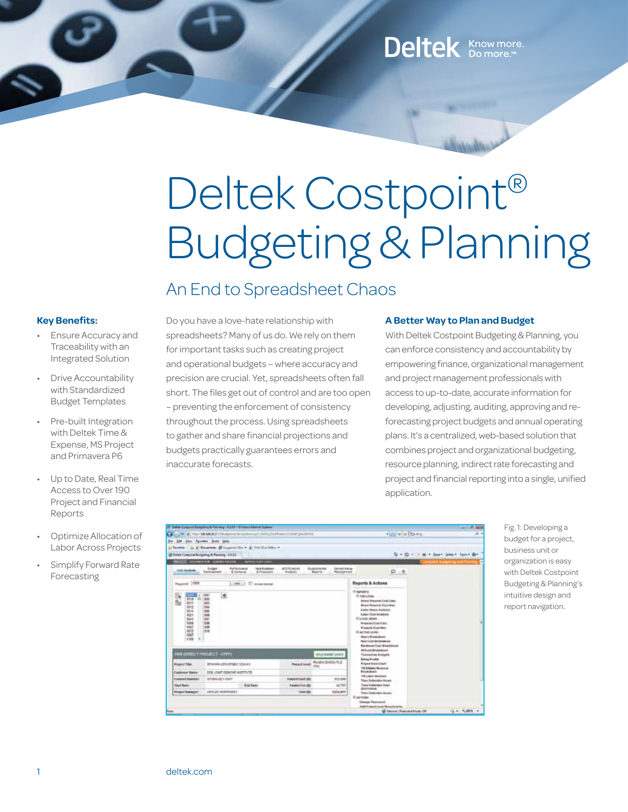## Deltek Know more.

# Deltek Costpoint® Budgeting & Planning

### An End to Spreadsheet Chaos

#### **Key Benefits:**

- **Ensure Accuracy and** Traceability with an Integrated Solution
- **Drive Accountability** with Standardized Budget Templates
- Pre-built Integration with Deltek Time & Expense, MS Project and Primavera P6
- Up to Date, Real Time Access to Over 190 Project and Financial Reports
- Optimize Allocation of Labor Across Projects
- **Simplify Forward Rate** Forecasting

Do you have a love-hate relationship with spreadsheets? Many of us do. We rely on them for important tasks such as creating project and operational budgets – where accuracy and precision are crucial. Yet, spreadsheets often fall short. The files get out of control and are too open – preventing the enforcement of consistency throughout the process. Using spreadsheets to gather and share financial projections and budgets practically guarantees errors and inaccurate forecasts.

#### **A Better Way to Plan and Budget**

With Deltek Costpoint Budgeting & Planning, you can enforce consistency and accountability by empowering finance, organizational management and project management professionals with access to up-to-date, accurate information for developing, adjusting, auditing, approving and reforecasting project budgets and annual operating plans. It's a centralized, web-based solution that combines project and organizational budgeting, resource planning, indirect rate forecasting and project and financial reporting into a single, unified application.

|                                                                                                                        | IT Take Colorer Substitute Terring - K337 - Il hasno barred Subrain                                      |                                  |                                                                            |                                                                                                                                                                                                                                                                                                                                                             | <b>SATISFIED</b>                   |
|------------------------------------------------------------------------------------------------------------------------|----------------------------------------------------------------------------------------------------------|----------------------------------|----------------------------------------------------------------------------|-------------------------------------------------------------------------------------------------------------------------------------------------------------------------------------------------------------------------------------------------------------------------------------------------------------------------------------------------------------|------------------------------------|
|                                                                                                                        | FOR TAXABLE UNANNY REGISTERED ENDLOWED OUT ENTIRED                                                       |                                  |                                                                            | +im +ixito +v                                                                                                                                                                                                                                                                                                                                               | д                                  |
| 100 year Facebook Soulse Allen                                                                                         |                                                                                                          |                                  |                                                                            |                                                                                                                                                                                                                                                                                                                                                             |                                    |
| <b>Faculture</b>                                                                                                       | g Swann, Blogsmiths + g variation +                                                                      |                                  |                                                                            |                                                                                                                                                                                                                                                                                                                                                             |                                    |
|                                                                                                                        | @ School Companies Budgeting & Planning 143.23-                                                          |                                  |                                                                            |                                                                                                                                                                                                                                                                                                                                                             | Si + D + 11 m + Sun+ Short Sun+ B+ |
|                                                                                                                        | AMERICA COMMUNIST<br><b>Chart cares</b>                                                                  |                                  |                                                                            |                                                                                                                                                                                                                                                                                                                                                             |                                    |
| <b>East Abdress</b>                                                                                                    | Parfasingeal<br><b>hote thusdoms</b><br>3 stgrt<br>A Karlance<br>& Pragataging<br><b>Canadiagonisers</b> | ACT/ADJACKA<br>detaileris.       | Superintental<br><b>Ear-head Mini-ac-</b><br>Manusement<br><b>Benefits</b> | 0.8                                                                                                                                                                                                                                                                                                                                                         |                                    |
| Peart is 1998                                                                                                          | <b>ET anual surred</b><br>$-0.001$                                                                       |                                  |                                                                            | Reports & Actions                                                                                                                                                                                                                                                                                                                                           |                                    |
| œ<br>1015<br><b>ADTY</b><br>tirtz<br><b>NEM</b><br>title<br><b>NGLI</b><br><b>Hota</b><br>tief<br>1072<br>1027<br>1108 | E.<br>쁣<br>931<br>936<br><b>TOP</b><br>drid.                                                             |                                  |                                                                            | IT wantered<br>IT TOWA HANG<br>Elizabet Processi (Cast Lians.)<br><b>Blowst Restaurbe Coat Nos.</b><br><b>Editor Bearin Andores</b><br>Edison Case Available<br>\$1 p.m.m. bowler<br>Prejects Case East<br><b>Rosente Contribut</b><br><b>BI active Lows</b><br><b>Regis Brandaleses</b><br><b>Rew Link Writinghood</b><br><b>Rankswell Coal Brackdoose</b> |                                    |
|                                                                                                                        | INM (SIRES TIMES ET - SIRE)                                                                              |                                  | <b>INSEASTMESSED</b>                                                       | AA Lisal/Breakdown<br><b>Transaction Analysis</b>                                                                                                                                                                                                                                                                                                           |                                    |
| <b>Project Title:</b><br>BRIGHTEN OFFICE TO 441                                                                        |                                                                                                          | Paintings                        | Redriction IV.C                                                            | <b>Editoral Avenue</b><br><b><i><u><u><b>Propert Gast Class</b></u></u></i></b><br>The Education Secretary                                                                                                                                                                                                                                                  |                                    |
| <b>Californs Barre</b>                                                                                                 | DOC JOINT OBJACKE WATTUTE                                                                                |                                  |                                                                            | <b>Braziliani</b><br>TILLIGHT AMERICA                                                                                                                                                                                                                                                                                                                       |                                    |
| <b>Contract National</b><br>STORE 40 Y 45HT                                                                            |                                                                                                          | FLAUDI 41.00 30<br><b>BILLEN</b> |                                                                            | Tites Callinder Noon                                                                                                                                                                                                                                                                                                                                        |                                    |
| <b>Stuart Basic</b>                                                                                                    | <b>Fed Sales</b>                                                                                         | <b>Tunded For dtd</b>            | 41.721                                                                     | Taxe Calleries Cost<br><b>IRAKING</b>                                                                                                                                                                                                                                                                                                                       |                                    |
| <b>Bingerrillsonger</b>                                                                                                | (IESUEVADANSKE)                                                                                          | <b>Sales des</b>                 | 1,014,879                                                                  | Third Collection North<br><b>Blackway</b>                                                                                                                                                                                                                                                                                                                   |                                    |
|                                                                                                                        |                                                                                                          |                                  |                                                                            | <b>Change Password</b><br>Anti-Francoi Lavar Scoutters Inc.                                                                                                                                                                                                                                                                                                 |                                    |
|                                                                                                                        |                                                                                                          |                                  |                                                                            | G havest Automativele (#                                                                                                                                                                                                                                                                                                                                    | G + 5,000 +                        |

Fig.1: Developing a budget for a project, business unit or organization is easy with Deltek Costpoint Budgeting & Planning's intuitive design and report navigation.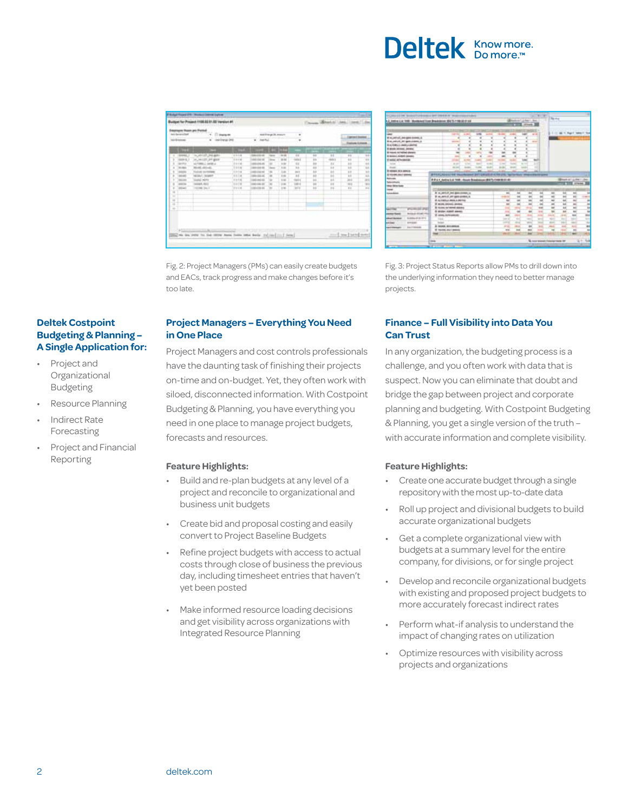## **Deltek** Know more.

| earliges Noon pri Feitel<br>best the worldwidt<br>1. Depart<br>A.A. (The growing)<br><b>MARINERS</b><br>astronomy.<br>٠ |                                                                                                            |                                                                                                                                                                                           | <b>Service</b><br><b>COLLEGE</b><br>marking it assure<br>$-$<br>All County<br>date Plus<br>٠<br>٠<br>v.        |                                                                                                                                                                                       |                                             |                                                                                                |                                                                                                | <b>GENERAL GAMES</b><br><b>MOVE LOWER</b>                          |                                                                                                           |                                                                                            |                                                                                              |
|-------------------------------------------------------------------------------------------------------------------------|------------------------------------------------------------------------------------------------------------|-------------------------------------------------------------------------------------------------------------------------------------------------------------------------------------------|----------------------------------------------------------------------------------------------------------------|---------------------------------------------------------------------------------------------------------------------------------------------------------------------------------------|---------------------------------------------|------------------------------------------------------------------------------------------------|------------------------------------------------------------------------------------------------|--------------------------------------------------------------------|-----------------------------------------------------------------------------------------------------------|--------------------------------------------------------------------------------------------|----------------------------------------------------------------------------------------------|
| ٠<br><b>Careen</b><br>٠<br>To Taking<br>$\frac{1}{4}$<br>$\overline{a}$<br>×<br>$\sim$<br>×                             | m<br>$-0.0044441 - 1$<br>3024 E. F<br>starting<br><b>JPEP</b><br><b>ALCOHOL:</b><br><b>COLLEGE</b><br>$-1$ | the advised the page against<br>w. writer and galax<br>ALCOHOL: AND A<br>Monte and a<br>Today of the Newsley<br>MON- Acuert<br>translat watch<br><b>VERBER RENT</b><br>THE REAL PROPERTY. | æ<br>$-1111$<br>$+ + + +$<br>114.16<br>114.46<br>1.111<br>1112<br>1111<br>11116<br>11 6 11 5 6<br><b>COLOR</b> | <b>DELTA COLOR</b><br><b>Last Dat H</b><br>100320-001<br>100404-00<br><b>LASH CALLS</b><br>Mc264<br>ill at the ar<br>1003 MG/ISL<br>104144-00<br>---<br><b><i>CONTRACTOR CALL</i></b> | <b>The Corporation</b><br><b>Diego</b><br>- | æ<br>14.00<br>14.06<br><b>A</b><br>$1 -$<br>$\frac{1}{2}$<br>$+$<br>$+10$<br>$+$<br>7.16<br>n. | $-1$<br><b>USKS</b><br>$\sim$<br>w<br>44.5<br>w<br><b>Gallery</b><br>$-0.01$<br><b>Ballion</b> | $\overline{a}$<br>$\mathbf{r}$<br>m<br>а<br>石<br>u<br>÷<br>m<br>12 | $\overline{1}$<br><b>Holes</b><br>$\mathbf{u}$<br>w<br>--<br>÷<br>Ω<br>$\sim$<br>$16 -$<br>$+1$<br>$10-1$ | $\overline{1}$<br>ü<br>$\frac{1}{2}$<br>Ω<br>. .<br>đ<br>œ<br>m<br>$+1$<br><b>SER</b><br>٠ | $\overline{14}$<br>V.<br>$\mathbf{u}$<br>To b<br>$\overline{ }$<br>u<br>27.5<br>W.<br>Art of |
| 16<br>œ                                                                                                                 |                                                                                                            | the me was to be stow here been into belo falled in I local                                                                                                                               |                                                                                                                |                                                                                                                                                                                       |                                             |                                                                                                |                                                                                                |                                                                    |                                                                                                           | $-1 - 1 - 1 - 1 - 1 - 1 - 1$                                                               |                                                                                              |

Fig. 2: Project Managers (PMs) can easily create budgets and EACs, track progress and make changes before it's too late.

#### **Deltek Costpoint Budgeting & Planning – A Single Application for:**

- • Project and Organizational Budgeting
- Resource Planning
- **Indirect Rate** Forecasting
- **Project and Financial** Reporting

#### **Project Managers – Everything You Need in One Place**

Project Managers and cost controls professionals have the daunting task of finishing their projects on-time and on-budget. Yet, they often work with siloed, disconnected information. With Costpoint Budgeting & Planning, you have everything you need in one place to manage project budgets, forecasts and resources.

#### **Feature Highlights:**

- Build and re-plan budgets at any level of a project and reconcile to organizational and business unit budgets
- Create bid and proposal costing and easily convert to Project Baseline Budgets
- Refine project budgets with access to actual costs through close of business the previous day, including timesheet entries that haven't yet been posted
- Make informed resource loading decisions and get visibility across organizations with Integrated Resource Planning



Fig. 3: Project Status Reports allow PMs to drill down into the underlying information they need to better manage projects.

#### **Finance – Full Visibility into Data You Can Trust**

In any organization, the budgeting process is a challenge, and you often work with data that is suspect. Now you can eliminate that doubt and bridge the gap between project and corporate planning and budgeting. With Costpoint Budgeting & Planning, you get a single version of the truth with accurate information and complete visibility.

#### **Feature Highlights:**

- Create one accurate budget through a single repositorywith the most up-to-date data
- Roll up project and divisional budgets to build accurate organizational budgets
- • Get a complete organizational view with budgets at a summary level for the entire company, for divisions, or for single project
- Develop and reconcile organizational budgets with existing and proposed project budgets to more accurately forecast indirect rates
- Perform what-if analysis to understand the impact of changing rates on utilization
- Optimize resources with visibility across projects and organizations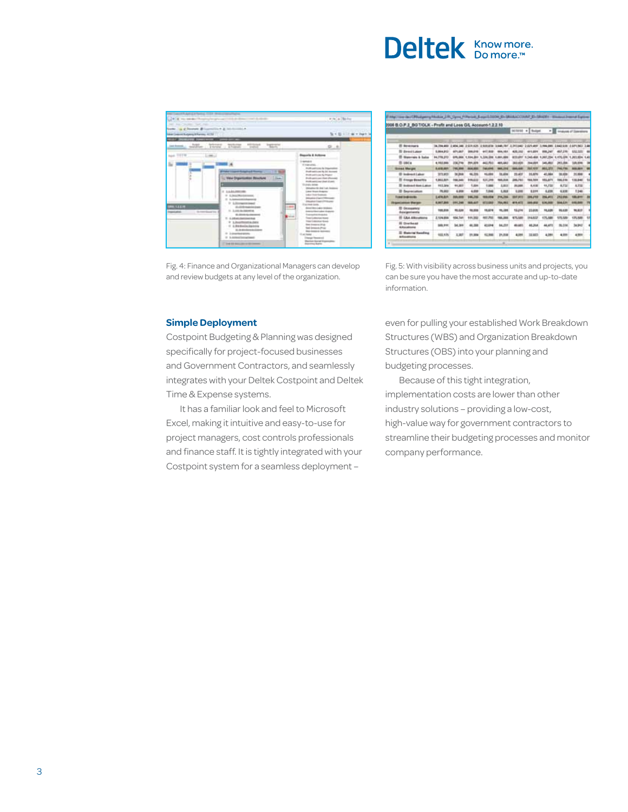## Deltek Knowmore.

| factor, on a bismon differential at interesting a<br><b>Silver Company &amp; Associated Art 2013</b> |                                                                                                                                                                                                                                                                                                                                              | North St. Life with Pages                                                                                                                                                                                                                                                                                                                                                                                                                                                                                                                                                                                                                                            |
|------------------------------------------------------------------------------------------------------|----------------------------------------------------------------------------------------------------------------------------------------------------------------------------------------------------------------------------------------------------------------------------------------------------------------------------------------------|----------------------------------------------------------------------------------------------------------------------------------------------------------------------------------------------------------------------------------------------------------------------------------------------------------------------------------------------------------------------------------------------------------------------------------------------------------------------------------------------------------------------------------------------------------------------------------------------------------------------------------------------------------------------|
| <b>Lear Avenue, J.C.</b>                                                                             | high brough building silings because                                                                                                                                                                                                                                                                                                         | $D - 8$                                                                                                                                                                                                                                                                                                                                                                                                                                                                                                                                                                                                                                                              |
| <b>Agel TVTW</b><br><b>STARTS</b><br>$-$<br>Schedule Co.                                             | 111 May Drawmaker Routlett 1<br><b>Linear</b><br>I LANAMOUR<br>In Administration<br>21 Automotive Assessed<br>51 L. Strompenn (emery)<br>1,444<br>1. All collections and the down<br>IL AMERICANS<br><b>William Archives</b><br><b>Color</b><br>T. L. DEVELOPMENT CA<br>12 3 Assortment is charge<br>$-1.8$ in the distribution distribution | <b>Baseria &amp; Actions</b><br><b>In general of</b><br>Posts and come by trapermiser<br>Double politicians the late channels<br><b>Division and In Links By Original II</b><br><b>Profit anti-Lost Chat (Percent)</b><br>Posts welcome chair stund:<br><b>End also demands</b><br>distantes the last 1-A-Assessed<br>Labour Mounty Anderson<br><b>Lake Engrisement</b><br><b>Mission Ligarithms</b><br><b>International Education Products</b><br>The main lands.<br>Send Work are bloked<br><b><i><u>International Color Avenue</u></i></b><br><b>Grammatical Annapolis</b><br>Toyot Cubbertain House<br><b>Trace Contemporary Money</b><br><b>Sea Engang Stup</b> |
|                                                                                                      | The department of the<br>In Automotive Annual Con-<br>It is associated and<br>This are not been address that the com-                                                                                                                                                                                                                        | San America Print<br><b>Ship dealers &amp; Sciences</b><br>U. at take .<br><b><i><u>I haven't finance</u>s</i></b><br><b>Plantist Sprint Ingenisher</b>                                                                                                                                                                                                                                                                                                                                                                                                                                                                                                              |

Fig. 4: Finance and Organizational Managers can develop and review budgets at any level of the organization.

|                                                | 2006 B.O.P.1 BG T/OLK - Profit and Loss G/L Account-1.2.2.10<br>sense +] tuget<br>۰E<br><b>Angloss of Garmens</b> |                 |                          |                |                |                |                                                          |              |                |              |
|------------------------------------------------|-------------------------------------------------------------------------------------------------------------------|-----------------|--------------------------|----------------|----------------|----------------|----------------------------------------------------------|--------------|----------------|--------------|
|                                                |                                                                                                                   |                 |                          |                |                |                |                                                          |              |                |              |
| <b>E bronners</b>                              | TA THE ARE IT ADA SAN IN DIRECTS IN HUNDRY SHARE FOR ILLUSTERS IS AFTER FOR THE LOAD NUMBER OF A RESIDENCE.       |                 |                          |                |                |                |                                                          |              |                |              |
| <b>III</b> Breast Lakes                        | 1,004,912                                                                                                         | 4011.067        |                          | 447.668        | 004, 161       | 4.25.192       | 411,001                                                  | <b>ML347</b> | 462,239        | \$702,925    |
| 27 National & Sales                            | 04,778,313                                                                                                        |                 | \$70,000 1,004,000       | 1.04.208.1.001 | . .            |                | 813-847 5.346-888, 5.267-254, 5.475-824, 5.201.834, 5.41 |              |                |              |
| <b>EL 1804</b>                                 | 4,982,986                                                                                                         | 206,716         | 201, 221                 | 441,751        | 491, 682       | 383,609        | 764,031                                                  | 145,053      | 393,006        | 120,896      |
| <b>Bonat Marger</b>                            | 8,418,491                                                                                                         | <b>FWL 294</b>  | <b>Book James</b>        | <b>MARKET</b>  | <b>MAL171</b>  | 185.66         | 941,670                                                  | 8012, 1871   | <b>THE FRE</b> | <b>MAJNY</b> |
| <b>ID Indirect Laker</b>                       | 373, 818                                                                                                          | <b>TH 248</b>   | 44, 204                  | 11, 1944       | 34,404         | 33,435<br>---  | 11,579                                                   | 41,594       |                | 31, Met      |
| <b>El Vingo Breattis</b>                       | 1,802,821                                                                                                         | 108,346         | <b><i><u>AMA</u></i></b> | 431,388        | <b>MAL202</b>  | 386,797        | 166, 707                                                 | 493, 871     | 106,236        | 131, 840     |
| El destacat doci i alco                        | 111,344                                                                                                           | 11,357          | 5,600                    | 1,000          | 3,925          | 31, 344        | 4, 418                                                   | 18,722       | 4,714          | 6,316        |
| <b>B</b> Depreciation                          | 79, 241                                                                                                           | 4,898           | 4,608                    | 1,846          | 1,818          | 5.244          | EEH                                                      | 4,438        | 6,338          | 1346         |
| <b>Travello di condito</b>                     | 1494,871                                                                                                          | <b>PUS. 899</b> | 141,700                  | 15,254         | <b>FV4.206</b> | <b>ALC: NO</b> | 86,2785                                                  | 296,411      | <b>J10.0M</b>  | 122, 244     |
| <b>Report addition Sharapa</b>                 | 4,967,800                                                                                                         | 681,346         | 884,447                  | 411, 888       | 794,001        | 419, 673       | 6.410                                                    | 4,96,939     | <b>BOALEST</b> | 410,000      |
| <b>D</b> Executives<br>Assignments             | 109,339                                                                                                           | 10, 338         | 14, 222                  | 15,474         | <b>94,284</b>  | 12,294         | 21.839                                                   | 16,528       | 96,639         | 16,811       |
| <b>BT CAA AROUNDED</b>                         | 2.124.954                                                                                                         | 104,746         | 111, 202                 | ABS PM         | <b>M.MA</b>    | 475,586        | 144,822                                                  | 475,588      | 175,539        | 125, 586     |
| <b>Ili Dientheast</b><br>Altimiditaria         | 888,914                                                                                                           | <b>Int.364</b>  | 44, 594                  | 41484          | 04,235         |                | 46,364                                                   | 44,471       | 16,314         | 34,942       |
| <b>III Massing Specifical</b><br>Afficerations | 483, 424                                                                                                          | <b>XAF</b>      | 31.9A                    | 12,966         | 21,838         | 4,099          | 32,607                                                   | 4,944        | 4.011          | 4.998        |

Fig. 5: With visibility across business units and projects, you can be sure you have the most accurate and up-to-date information.

#### **Simple Deployment**

Costpoint Budgeting & Planning was designed specifically for project-focused businesses and Government Contractors, and seamlessly integrates with your Deltek Costpoint and Deltek Time & Expense systems.

It has a familiar look and feel to Microsoft Excel, making it intuitive and easy-to-use for project managers, cost controls professionals and finance staff. It is tightly integrated with your Costpoint system for a seamless deployment –

even for pulling your established Work Breakdown Structures (WBS) and Organization Breakdown Structures (OBS) into your planning and budgeting processes.

Because of this tight integration, implementation costs are lower than other industry solutions – providing a low-cost, high-value way for government contractors to streamline their budgeting processes and monitor company performance.